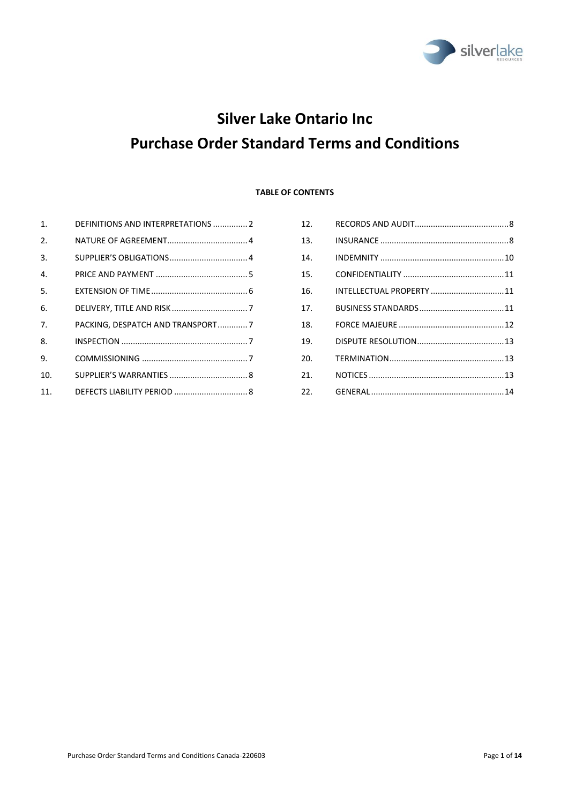

# **Silver Lake Ontario Inc Purchase Order Standard Terms and Conditions**

## **TABLE OF CONTENTS**

| 1 <sub>1</sub> | DEFINITIONS AND INTERPRETATIONS  2 |
|----------------|------------------------------------|
| 2.             |                                    |
| 3.             |                                    |
| 4.             |                                    |
| 5.             |                                    |
| 6.             |                                    |
| 7.             | PACKING, DESPATCH AND TRANSPORT7   |
| 8.             |                                    |
| 9.             |                                    |
| 10.            |                                    |
| 11.            |                                    |
|                |                                    |

| 12.             |                           |  |
|-----------------|---------------------------|--|
| 13.             |                           |  |
| 14.             |                           |  |
| 15.             |                           |  |
| 16.             | INTELLECTUAL PROPERTY  11 |  |
| 17 <sub>1</sub> |                           |  |
| 18.             |                           |  |
| 19.             |                           |  |
| 20.             |                           |  |
| 21.             |                           |  |
| 22.             |                           |  |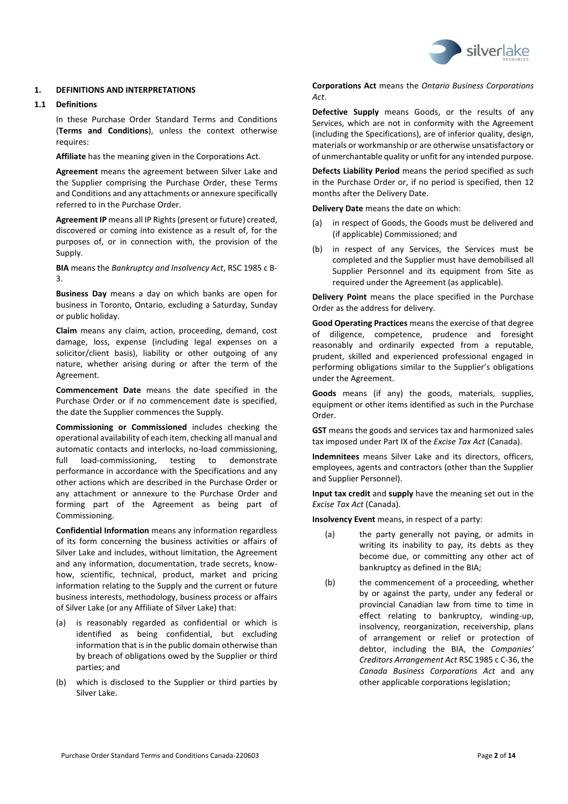

## <span id="page-1-0"></span>**1. DEFINITIONS AND INTERPRETATIONS**

#### **1.1 Definitions**

In these Purchase Order Standard Terms and Conditions (**Terms and Conditions**), unless the context otherwise requires:

**Affiliate** has the meaning given in the Corporations Act.

**Agreement** means the agreement between Silver Lake and the Supplier comprising the Purchase Order, these Terms and Conditions and any attachments or annexure specifically referred to in the Purchase Order.

**Agreement IP** means all IP Rights (present or future) created, discovered or coming into existence as a result of, for the purposes of, or in connection with, the provision of the Supply.

**BIA** means the *Bankruptcy and Insolvency Act*, RSC 1985 c B-3.

**Business Day** means a day on which banks are open for business in Toronto, Ontario, excluding a Saturday, Sunday or public holiday.

**Claim** means any claim, action, proceeding, demand, cost damage, loss, expense (including legal expenses on a solicitor/client basis), liability or other outgoing of any nature, whether arising during or after the term of the Agreement.

**Commencement Date** means the date specified in the Purchase Order or if no commencement date is specified, the date the Supplier commences the Supply.

**Commissioning or Commissioned** includes checking the operational availability of each item, checking all manual and automatic contacts and interlocks, no-load commissioning, full load-commissioning, testing to demonstrate performance in accordance with the Specifications and any other actions which are described in the Purchase Order or any attachment or annexure to the Purchase Order and forming part of the Agreement as being part of Commissioning.

**Confidential Information** means any information regardless of its form concerning the business activities or affairs of Silver Lake and includes, without limitation, the Agreement and any information, documentation, trade secrets, knowhow, scientific, technical, product, market and pricing information relating to the Supply and the current or future business interests, methodology, business process or affairs of Silver Lake (or any Affiliate of Silver Lake) that:

- (a) is reasonably regarded as confidential or which is identified as being confidential, but excluding information that is in the public domain otherwise than by breach of obligations owed by the Supplier or third parties; and
- (b) which is disclosed to the Supplier or third parties by Silver Lake.

**Corporations Act** means the *Ontario Business Corporations Act*.

**Defective Supply** means Goods, or the results of any Services, which are not in conformity with the Agreement (including the Specifications), are of inferior quality, design, materials or workmanship or are otherwise unsatisfactory or of unmerchantable quality or unfit for any intended purpose.

**Defects Liability Period** means the period specified as such in the Purchase Order or, if no period is specified, then 12 months after the Delivery Date.

**Delivery Date** means the date on which:

- (a) in respect of Goods, the Goods must be delivered and (if applicable) Commissioned; and
- (b) in respect of any Services, the Services must be completed and the Supplier must have demobilised all Supplier Personnel and its equipment from Site as required under the Agreement (as applicable).

**Delivery Point** means the place specified in the Purchase Order as the address for delivery.

**Good Operating Practices** means the exercise of that degree of diligence, competence, prudence and foresight reasonably and ordinarily expected from a reputable, prudent, skilled and experienced professional engaged in performing obligations similar to the Supplier's obligations under the Agreement.

**Goods** means (if any) the goods, materials, supplies, equipment or other items identified as such in the Purchase Order.

**GST** means the goods and services tax and harmonized sales tax imposed under Part IX of the *Excise Tax Act* (Canada).

**Indemnitees** means Silver Lake and its directors, officers, employees, agents and contractors (other than the Supplier and Supplier Personnel).

**Input tax credit** and **supply** have the meaning set out in the *Excise Tax Act* (Canada).

**Insolvency Event** means, in respect of a party:

- (a) the party generally not paying, or admits in writing its inability to pay, its debts as they become due, or committing any other act of bankruptcy as defined in the BIA;
- (b) the commencement of a proceeding, whether by or against the party, under any federal or provincial Canadian law from time to time in effect relating to bankruptcy, winding-up, insolvency, reorganization, receivership, plans of arrangement or relief or protection of debtor, including the BIA, the *Companies' Creditors Arrangement Act* RSC 1985 c C-36, the *Canada Business Corporations Act* and any other applicable corporations legislation;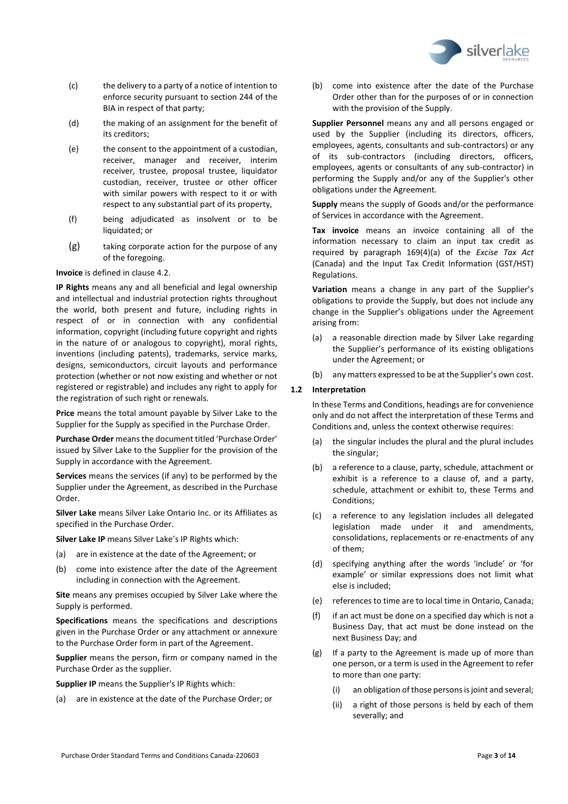

- (c) the delivery to a party of a notice of intention to enforce security pursuant to section 244 of the BIA in respect of that party;
- (d) the making of an assignment for the benefit of its creditors;
- (e) the consent to the appointment of a custodian, receiver, manager and receiver, interim receiver, trustee, proposal trustee, liquidator custodian, receiver, trustee or other officer with similar powers with respect to it or with respect to any substantial part of its property,
- (f) being adjudicated as insolvent or to be liquidated; or
- (g) taking corporate action for the purpose of any of the foregoing.

**Invoice** is defined in claus[e 4.2.](#page-4-1)

**IP Rights** means any and all beneficial and legal ownership and intellectual and industrial protection rights throughout the world, both present and future, including rights in respect of or in connection with any confidential information, copyright (including future copyright and rights in the nature of or analogous to copyright), moral rights, inventions (including patents), trademarks, service marks, designs, semiconductors, circuit layouts and performance protection (whether or not now existing and whether or not registered or registrable) and includes any right to apply for the registration of such right or renewals.

**Price** means the total amount payable by Silver Lake to the Supplier for the Supply as specified in the Purchase Order.

**Purchase Order** means the document titled 'Purchase Order' issued by Silver Lake to the Supplier for the provision of the Supply in accordance with the Agreement.

**Services** means the services (if any) to be performed by the Supplier under the Agreement, as described in the Purchase Order.

**Silver Lake** means Silver Lake Ontario Inc. or its Affiliates as specified in the Purchase Order.

**Silver Lake IP** means Silver Lake's IP Rights which:

- (a) are in existence at the date of the Agreement; or
- (b) come into existence after the date of the Agreement including in connection with the Agreement.

**Site** means any premises occupied by Silver Lake where the Supply is performed.

**Specifications** means the specifications and descriptions given in the Purchase Order or any attachment or annexure to the Purchase Order form in part of the Agreement.

**Supplier** means the person, firm or company named in the Purchase Order as the supplier.

**Supplier IP** means the Supplier's IP Rights which:

(a) are in existence at the date of the Purchase Order; or

(b) come into existence after the date of the Purchase Order other than for the purposes of or in connection with the provision of the Supply.

**Supplier Personnel** means any and all persons engaged or used by the Supplier (including its directors, officers, employees, agents, consultants and sub-contractors) or any of its sub-contractors (including directors, officers, employees, agents or consultants of any sub-contractor) in performing the Supply and/or any of the Supplier's other obligations under the Agreement.

**Supply** means the supply of Goods and/or the performance of Services in accordance with the Agreement.

**Tax invoice** means an invoice containing all of the information necessary to claim an input tax credit as required by paragraph 169(4)(a) of the *Excise Tax Act*  (Canada) and the Input Tax Credit Information (GST/HST) Regulations.

**Variation** means a change in any part of the Supplier's obligations to provide the Supply, but does not include any change in the Supplier's obligations under the Agreement arising from:

- (a) a reasonable direction made by Silver Lake regarding the Supplier's performance of its existing obligations under the Agreement; or
- (b) any matters expressed to be at the Supplier's own cost.

## **1.2 Interpretation**

In these Terms and Conditions, headings are for convenience only and do not affect the interpretation of these Terms and Conditions and, unless the context otherwise requires:

- (a) the singular includes the plural and the plural includes the singular;
- (b) a reference to a clause, party, schedule, attachment or exhibit is a reference to a clause of, and a party, schedule, attachment or exhibit to, these Terms and Conditions;
- (c) a reference to any legislation includes all delegated legislation made under it and amendments, consolidations, replacements or re-enactments of any of them;
- (d) specifying anything after the words 'include' or 'for example' or similar expressions does not limit what else is included;
- (e) references to time are to local time in Ontario, Canada;
- (f) if an act must be done on a specified day which is not a Business Day, that act must be done instead on the next Business Day; and
- (g) If a party to the Agreement is made up of more than one person, or a term is used in the Agreement to refer to more than one party:
	- (i) an obligation of those persons is joint and several;
	- (ii) a right of those persons is held by each of them severally; and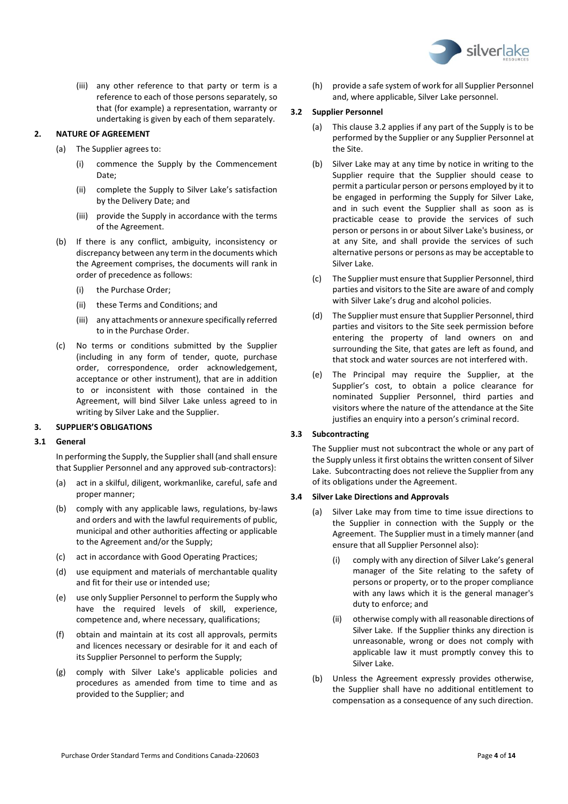

(iii) any other reference to that party or term is a reference to each of those persons separately, so that (for example) a representation, warranty or undertaking is given by each of them separately.

## <span id="page-3-0"></span>**2. NATURE OF AGREEMENT**

- (a) The Supplier agrees to:
	- (i) commence the Supply by the Commencement Date;
	- (ii) complete the Supply to Silver Lake's satisfaction by the Delivery Date; and
	- (iii) provide the Supply in accordance with the terms of the Agreement.
- (b) If there is any conflict, ambiguity, inconsistency or discrepancy between any term in the documents which the Agreement comprises, the documents will rank in order of precedence as follows:
	- (i) the Purchase Order;
	- (ii) these Terms and Conditions; and
	- (iii) any attachments or annexure specifically referred to in the Purchase Order.
- (c) No terms or conditions submitted by the Supplier (including in any form of tender, quote, purchase order, correspondence, order acknowledgement, acceptance or other instrument), that are in addition to or inconsistent with those contained in the Agreement, will bind Silver Lake unless agreed to in writing by Silver Lake and the Supplier.

## <span id="page-3-1"></span>**3. SUPPLIER'S OBLIGATIONS**

#### **3.1 General**

In performing the Supply, the Supplier shall (and shall ensure that Supplier Personnel and any approved sub-contractors):

- (a) act in a skilful, diligent, workmanlike, careful, safe and proper manner;
- (b) comply with any applicable laws, regulations, by-laws and orders and with the lawful requirements of public, municipal and other authorities affecting or applicable to the Agreement and/or the Supply;
- (c) act in accordance with Good Operating Practices;
- (d) use equipment and materials of merchantable quality and fit for their use or intended use;
- (e) use only Supplier Personnel to perform the Supply who have the required levels of skill, experience, competence and, where necessary, qualifications;
- (f) obtain and maintain at its cost all approvals, permits and licences necessary or desirable for it and each of its Supplier Personnel to perform the Supply;
- (g) comply with Silver Lake's applicable policies and procedures as amended from time to time and as provided to the Supplier; and

(h) provide a safe system of work for all Supplier Personnel and, where applicable, Silver Lake personnel.

## <span id="page-3-2"></span>**3.2 Supplier Personnel**

- (a) This claus[e 3.2](#page-3-2) applies if any part of the Supply is to be performed by the Supplier or any Supplier Personnel at the Site.
- (b) Silver Lake may at any time by notice in writing to the Supplier require that the Supplier should cease to permit a particular person or persons employed by it to be engaged in performing the Supply for Silver Lake, and in such event the Supplier shall as soon as is practicable cease to provide the services of such person or persons in or about Silver Lake's business, or at any Site, and shall provide the services of such alternative persons or persons as may be acceptable to Silver Lake.
- (c) The Supplier must ensure that Supplier Personnel, third parties and visitors to the Site are aware of and comply with Silver Lake's drug and alcohol policies.
- (d) The Supplier must ensure that Supplier Personnel, third parties and visitors to the Site seek permission before entering the property of land owners on and surrounding the Site, that gates are left as found, and that stock and water sources are not interfered with.
- (e) The Principal may require the Supplier, at the Supplier's cost, to obtain a police clearance for nominated Supplier Personnel, third parties and visitors where the nature of the attendance at the Site justifies an enquiry into a person's criminal record.

## **3.3 Subcontracting**

The Supplier must not subcontract the whole or any part of the Supply unless it first obtains the written consent of Silver Lake. Subcontracting does not relieve the Supplier from any of its obligations under the Agreement.

## **3.4 Silver Lake Directions and Approvals**

- (a) Silver Lake may from time to time issue directions to the Supplier in connection with the Supply or the Agreement. The Supplier must in a timely manner (and ensure that all Supplier Personnel also):
	- comply with any direction of Silver Lake's general manager of the Site relating to the safety of persons or property, or to the proper compliance with any laws which it is the general manager's duty to enforce; and
	- (ii) otherwise comply with all reasonable directions of Silver Lake. If the Supplier thinks any direction is unreasonable, wrong or does not comply with applicable law it must promptly convey this to Silver Lake.
- (b) Unless the Agreement expressly provides otherwise, the Supplier shall have no additional entitlement to compensation as a consequence of any such direction.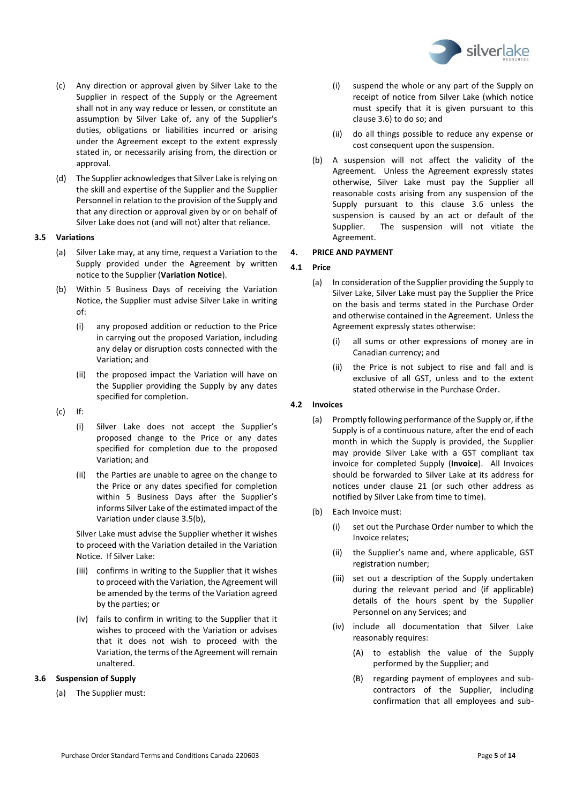

- (c) Any direction or approval given by Silver Lake to the Supplier in respect of the Supply or the Agreement shall not in any way reduce or lessen, or constitute an assumption by Silver Lake of, any of the Supplier's duties, obligations or liabilities incurred or arising under the Agreement except to the extent expressly stated in, or necessarily arising from, the direction or approval.
- (d) The Supplier acknowledges that Silver Lake is relying on the skill and expertise of the Supplier and the Supplier Personnel in relation to the provision of the Supply and that any direction or approval given by or on behalf of Silver Lake does not (and will not) alter that reliance.

## <span id="page-4-2"></span>**3.5 Variations**

- (a) Silver Lake may, at any time, request a Variation to the Supply provided under the Agreement by written notice to the Supplier (**Variation Notice**).
- <span id="page-4-3"></span>(b) Within 5 Business Days of receiving the Variation Notice, the Supplier must advise Silver Lake in writing of:
	- (i) any proposed addition or reduction to the Price in carrying out the proposed Variation, including any delay or disruption costs connected with the Variation; and
	- (ii) the proposed impact the Variation will have on the Supplier providing the Supply by any dates specified for completion.
- (c) If:
	- (i) Silver Lake does not accept the Supplier's proposed change to the Price or any dates specified for completion due to the proposed Variation; and
	- (ii) the Parties are unable to agree on the change to the Price or any dates specified for completion within 5 Business Days after the Supplier's informs Silver Lake of the estimated impact of the Variation under claus[e 3.5](#page-4-2)[\(b\),](#page-4-3)

Silver Lake must advise the Supplier whether it wishes to proceed with the Variation detailed in the Variation Notice. If Silver Lake:

- (iii) confirms in writing to the Supplier that it wishes to proceed with the Variation, the Agreement will be amended by the terms of the Variation agreed by the parties; or
- (iv) fails to confirm in writing to the Supplier that it wishes to proceed with the Variation or advises that it does not wish to proceed with the Variation, the terms of the Agreement will remain unaltered.

## <span id="page-4-4"></span>**3.6 Suspension of Supply**

(a) The Supplier must:

- (i) suspend the whole or any part of the Supply on receipt of notice from Silver Lake (which notice must specify that it is given pursuant to this clause [3.6\)](#page-4-4) to do so; and
- (ii) do all things possible to reduce any expense or cost consequent upon the suspension.
- (b) A suspension will not affect the validity of the Agreement. Unless the Agreement expressly states otherwise, Silver Lake must pay the Supplier all reasonable costs arising from any suspension of the Supply pursuant to this clause [3.6](#page-4-4) unless the suspension is caused by an act or default of the Supplier. The suspension will not vitiate the Agreement.

## <span id="page-4-0"></span>**4. PRICE AND PAYMENT**

## **4.1 Price**

- (a) In consideration of the Supplier providing the Supply to Silver Lake, Silver Lake must pay the Supplier the Price on the basis and terms stated in the Purchase Order and otherwise contained in the Agreement. Unless the Agreement expressly states otherwise:
	- (i) all sums or other expressions of money are in Canadian currency; and
	- (ii) the Price is not subject to rise and fall and is exclusive of all GST, unless and to the extent stated otherwise in the Purchase Order.

## <span id="page-4-1"></span>**4.2 Invoices**

- (a) Promptly following performance of the Supply or, if the Supply is of a continuous nature, after the end of each month in which the Supply is provided, the Supplier may provide Silver Lake with a GST compliant tax invoice for completed Supply (**Invoice**). All Invoices should be forwarded to Silver Lake at its address for notices under clause [21](#page-12-2) (or such other address as notified by Silver Lake from time to time).
- (b) Each Invoice must:
	- (i) set out the Purchase Order number to which the Invoice relates;
	- (ii) the Supplier's name and, where applicable, GST registration number;
	- (iii) set out a description of the Supply undertaken during the relevant period and (if applicable) details of the hours spent by the Supplier Personnel on any Services; and
	- (iv) include all documentation that Silver Lake reasonably requires:
		- (A) to establish the value of the Supply performed by the Supplier; and
		- (B) regarding payment of employees and subcontractors of the Supplier, including confirmation that all employees and sub-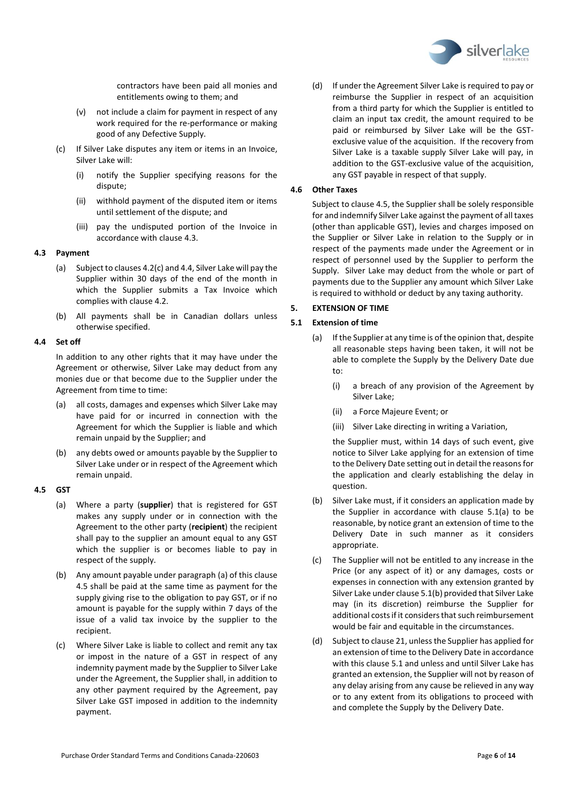

contractors have been paid all monies and entitlements owing to them; and

- (v) not include a claim for payment in respect of any work required for the re-performance or making good of any Defective Supply.
- <span id="page-5-2"></span>(c) If Silver Lake disputes any item or items in an Invoice, Silver Lake will:
	- (i) notify the Supplier specifying reasons for the dispute;
	- (ii) withhold payment of the disputed item or items until settlement of the dispute; and
	- (iii) pay the undisputed portion of the Invoice in accordance with claus[e 4.3.](#page-5-1)

## <span id="page-5-1"></span>**4.3 Payment**

- (a) Subject to clause[s 4.2](#page-4-1)[\(c\)](#page-5-2) an[d 4.4,](#page-5-3) Silver Lake will pay the Supplier within 30 days of the end of the month in which the Supplier submits a Tax Invoice which complies with clause [4.2.](#page-4-1)
- (b) All payments shall be in Canadian dollars unless otherwise specified.

## <span id="page-5-3"></span>**4.4 Set off**

In addition to any other rights that it may have under the Agreement or otherwise, Silver Lake may deduct from any monies due or that become due to the Supplier under the Agreement from time to time:

- (a) all costs, damages and expenses which Silver Lake may have paid for or incurred in connection with the Agreement for which the Supplier is liable and which remain unpaid by the Supplier; and
- (b) any debts owed or amounts payable by the Supplier to Silver Lake under or in respect of the Agreement which remain unpaid.

## <span id="page-5-5"></span><span id="page-5-4"></span>**4.5 GST**

- (a) Where a party (**supplier**) that is registered for GST makes any supply under or in connection with the Agreement to the other party (**recipient**) the recipient shall pay to the supplier an amount equal to any GST which the supplier is or becomes liable to pay in respect of the supply.
- (b) Any amount payable under paragrap[h \(a\)](#page-5-4) of this clause [4.5](#page-5-5) shall be paid at the same time as payment for the supply giving rise to the obligation to pay GST, or if no amount is payable for the supply within 7 days of the issue of a valid tax invoice by the supplier to the recipient.
- (c) Where Silver Lake is liable to collect and remit any tax or impost in the nature of a GST in respect of any indemnity payment made by the Supplier to Silver Lake under the Agreement, the Supplier shall, in addition to any other payment required by the Agreement, pay Silver Lake GST imposed in addition to the indemnity payment.

(d) If under the Agreement Silver Lake is required to pay or reimburse the Supplier in respect of an acquisition from a third party for which the Supplier is entitled to claim an input tax credit, the amount required to be paid or reimbursed by Silver Lake will be the GSTexclusive value of the acquisition. If the recovery from Silver Lake is a taxable supply Silver Lake will pay, in addition to the GST-exclusive value of the acquisition, any GST payable in respect of that supply.

## **4.6 Other Taxes**

Subject to claus[e 4.5,](#page-5-5) the Supplier shall be solely responsible for and indemnify Silver Lake against the payment of all taxes (other than applicable GST), levies and charges imposed on the Supplier or Silver Lake in relation to the Supply or in respect of the payments made under the Agreement or in respect of personnel used by the Supplier to perform the Supply. Silver Lake may deduct from the whole or part of payments due to the Supplier any amount which Silver Lake is required to withhold or deduct by any taxing authority.

## <span id="page-5-0"></span>**5. EXTENSION OF TIME**

## <span id="page-5-7"></span><span id="page-5-6"></span>**5.1 Extension of time**

- (a) If the Supplier at any time is of the opinion that, despite all reasonable steps having been taken, it will not be able to complete the Supply by the Delivery Date due to:
	- (i) a breach of any provision of the Agreement by Silver Lake;
	- (ii) a Force Majeure Event; or
	- (iii) Silver Lake directing in writing a Variation,

the Supplier must, within 14 days of such event, give notice to Silver Lake applying for an extension of time to the Delivery Date setting out in detail the reasons for the application and clearly establishing the delay in question.

- <span id="page-5-8"></span>(b) Silver Lake must, if it considers an application made by the Supplier in accordance with clause [5.1](#page-5-6)[\(a\)](#page-5-7) to be reasonable, by notice grant an extension of time to the Delivery Date in such manner as it considers appropriate.
- (c) The Supplier will not be entitled to any increase in the Price (or any aspect of it) or any damages, costs or expenses in connection with any extension granted by Silver Lake under claus[e 5.1](#page-5-6)[\(b\)](#page-5-8) provided that Silver Lake may (in its discretion) reimburse the Supplier for additional costs if it considers that such reimbursement would be fair and equitable in the circumstances.
- (d) Subject to clause 21, unless the Supplier has applied for an extension of time to the Delivery Date in accordance with this clause [5.1](#page-5-6) and unless and until Silver Lake has granted an extension, the Supplier will not by reason of any delay arising from any cause be relieved in any way or to any extent from its obligations to proceed with and complete the Supply by the Delivery Date.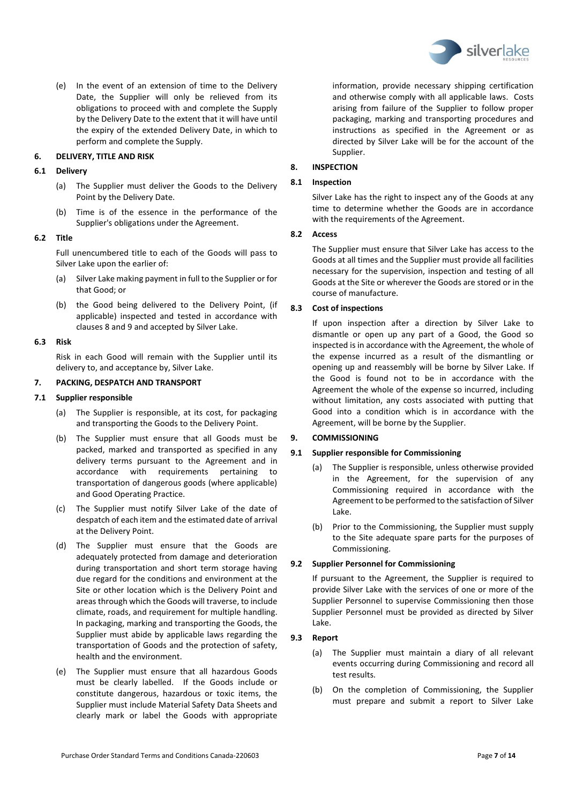

(e) In the event of an extension of time to the Delivery Date, the Supplier will only be relieved from its obligations to proceed with and complete the Supply by the Delivery Date to the extent that it will have until the expiry of the extended Delivery Date, in which to perform and complete the Supply.

## <span id="page-6-0"></span>**6. DELIVERY, TITLE AND RISK**

#### **6.1 Delivery**

- (a) The Supplier must deliver the Goods to the Delivery Point by the Delivery Date.
- (b) Time is of the essence in the performance of the Supplier's obligations under the Agreement.

#### **6.2 Title**

Full unencumbered title to each of the Goods will pass to Silver Lake upon the earlier of:

- (a) Silver Lake making payment in full to the Supplier or for that Good; or
- (b) the Good being delivered to the Delivery Point, (if applicable) inspected and tested in accordance with clauses [8](#page-6-2) an[d 9](#page-6-3) and accepted by Silver Lake.

#### **6.3 Risk**

Risk in each Good will remain with the Supplier until its delivery to, and acceptance by, Silver Lake.

## <span id="page-6-1"></span>**7. PACKING, DESPATCH AND TRANSPORT**

#### **7.1 Supplier responsible**

- (a) The Supplier is responsible, at its cost, for packaging and transporting the Goods to the Delivery Point.
- (b) The Supplier must ensure that all Goods must be packed, marked and transported as specified in any delivery terms pursuant to the Agreement and in accordance with requirements pertaining to transportation of dangerous goods (where applicable) and Good Operating Practice.
- (c) The Supplier must notify Silver Lake of the date of despatch of each item and the estimated date of arrival at the Delivery Point.
- (d) The Supplier must ensure that the Goods are adequately protected from damage and deterioration during transportation and short term storage having due regard for the conditions and environment at the Site or other location which is the Delivery Point and areas through which the Goods will traverse, to include climate, roads, and requirement for multiple handling. In packaging, marking and transporting the Goods, the Supplier must abide by applicable laws regarding the transportation of Goods and the protection of safety, health and the environment.
- (e) The Supplier must ensure that all hazardous Goods must be clearly labelled. If the Goods include or constitute dangerous, hazardous or toxic items, the Supplier must include Material Safety Data Sheets and clearly mark or label the Goods with appropriate

information, provide necessary shipping certification and otherwise comply with all applicable laws. Costs arising from failure of the Supplier to follow proper packaging, marking and transporting procedures and instructions as specified in the Agreement or as directed by Silver Lake will be for the account of the Supplier.

#### <span id="page-6-2"></span>**8. INSPECTION**

#### **8.1 Inspection**

Silver Lake has the right to inspect any of the Goods at any time to determine whether the Goods are in accordance with the requirements of the Agreement.

## **8.2 Access**

The Supplier must ensure that Silver Lake has access to the Goods at all times and the Supplier must provide all facilities necessary for the supervision, inspection and testing of all Goods at the Site or wherever the Goods are stored or in the course of manufacture.

## **8.3 Cost of inspections**

If upon inspection after a direction by Silver Lake to dismantle or open up any part of a Good, the Good so inspected is in accordance with the Agreement, the whole of the expense incurred as a result of the dismantling or opening up and reassembly will be borne by Silver Lake. If the Good is found not to be in accordance with the Agreement the whole of the expense so incurred, including without limitation, any costs associated with putting that Good into a condition which is in accordance with the Agreement, will be borne by the Supplier.

## <span id="page-6-3"></span>**9. COMMISSIONING**

## **9.1 Supplier responsible for Commissioning**

- (a) The Supplier is responsible, unless otherwise provided in the Agreement, for the supervision of any Commissioning required in accordance with the Agreement to be performed to the satisfaction of Silver Lake.
- (b) Prior to the Commissioning, the Supplier must supply to the Site adequate spare parts for the purposes of Commissioning.

## **9.2 Supplier Personnel for Commissioning**

If pursuant to the Agreement, the Supplier is required to provide Silver Lake with the services of one or more of the Supplier Personnel to supervise Commissioning then those Supplier Personnel must be provided as directed by Silver Lake.

## **9.3 Report**

- (a) The Supplier must maintain a diary of all relevant events occurring during Commissioning and record all test results.
- (b) On the completion of Commissioning, the Supplier must prepare and submit a report to Silver Lake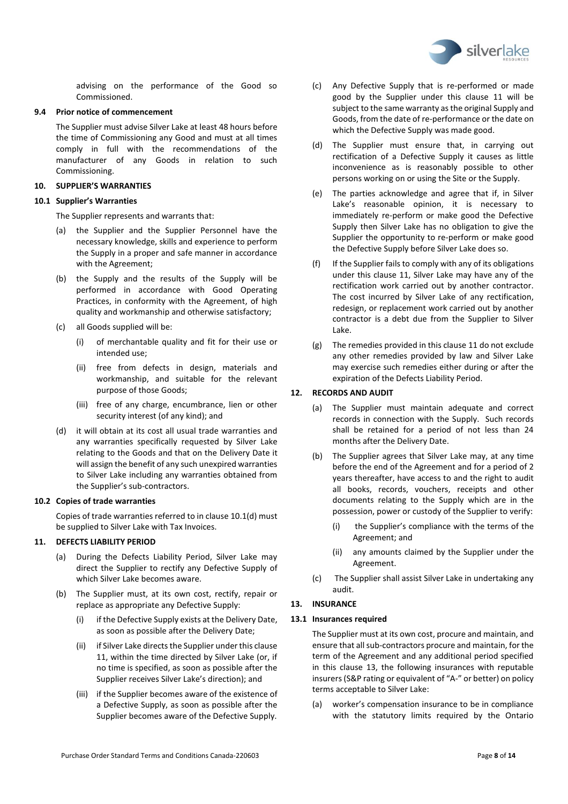

advising on the performance of the Good so Commissioned.

#### **9.4 Prior notice of commencement**

The Supplier must advise Silver Lake at least 48 hours before the time of Commissioning any Good and must at all times comply in full with the recommendations of the manufacturer of any Goods in relation to such Commissioning.

## <span id="page-7-0"></span>**10. SUPPLIER'S WARRANTIES**

## <span id="page-7-4"></span>**10.1 Supplier's Warranties**

The Supplier represents and warrants that:

- (a) the Supplier and the Supplier Personnel have the necessary knowledge, skills and experience to perform the Supply in a proper and safe manner in accordance with the Agreement;
- (b) the Supply and the results of the Supply will be performed in accordance with Good Operating Practices, in conformity with the Agreement, of high quality and workmanship and otherwise satisfactory;
- (c) all Goods supplied will be:
	- (i) of merchantable quality and fit for their use or intended use;
	- (ii) free from defects in design, materials and workmanship, and suitable for the relevant purpose of those Goods;
	- (iii) free of any charge, encumbrance, lien or other security interest (of any kind); and
- <span id="page-7-5"></span>(d) it will obtain at its cost all usual trade warranties and any warranties specifically requested by Silver Lake relating to the Goods and that on the Delivery Date it will assign the benefit of any such unexpired warranties to Silver Lake including any warranties obtained from the Supplier's sub-contractors.

## **10.2 Copies of trade warranties**

Copies of trade warranties referred to in claus[e 10.1](#page-7-4)[\(d\)](#page-7-5) must be supplied to Silver Lake with Tax Invoices.

## <span id="page-7-1"></span>**11. DEFECTS LIABILITY PERIOD**

- (a) During the Defects Liability Period, Silver Lake may direct the Supplier to rectify any Defective Supply of which Silver Lake becomes aware.
- (b) The Supplier must, at its own cost, rectify, repair or replace as appropriate any Defective Supply:
	- (i) if the Defective Supply exists at the Delivery Date, as soon as possible after the Delivery Date;
	- (ii) if Silver Lake directs the Supplier under this clause [11,](#page-7-1) within the time directed by Silver Lake (or, if no time is specified, as soon as possible after the Supplier receives Silver Lake's direction); and
	- (iii) if the Supplier becomes aware of the existence of a Defective Supply, as soon as possible after the Supplier becomes aware of the Defective Supply.
- (c) Any Defective Supply that is re-performed or made good by the Supplier under this clause [11](#page-7-1) will be subject to the same warranty as the original Supply and Goods, from the date of re-performance or the date on which the Defective Supply was made good.
- (d) The Supplier must ensure that, in carrying out rectification of a Defective Supply it causes as little inconvenience as is reasonably possible to other persons working on or using the Site or the Supply.
- (e) The parties acknowledge and agree that if, in Silver Lake's reasonable opinion, it is necessary to immediately re-perform or make good the Defective Supply then Silver Lake has no obligation to give the Supplier the opportunity to re-perform or make good the Defective Supply before Silver Lake does so.
- (f) If the Supplier fails to comply with any of its obligations under this clause [11,](#page-7-1) Silver Lake may have any of the rectification work carried out by another contractor. The cost incurred by Silver Lake of any rectification, redesign, or replacement work carried out by another contractor is a debt due from the Supplier to Silver Lake.
- (g) The remedies provided in this clause [11](#page-7-1) do not exclude any other remedies provided by law and Silver Lake may exercise such remedies either during or after the expiration of the Defects Liability Period.

## <span id="page-7-2"></span>**12. RECORDS AND AUDIT**

- (a) The Supplier must maintain adequate and correct records in connection with the Supply. Such records shall be retained for a period of not less than 24 months after the Delivery Date.
- (b) The Supplier agrees that Silver Lake may, at any time before the end of the Agreement and for a period of 2 years thereafter, have access to and the right to audit all books, records, vouchers, receipts and other documents relating to the Supply which are in the possession, power or custody of the Supplier to verify:
	- (i) the Supplier's compliance with the terms of the Agreement; and
	- (ii) any amounts claimed by the Supplier under the Agreement.
- (c) The Supplier shall assist Silver Lake in undertaking any audit.

## <span id="page-7-3"></span>**13. INSURANCE**

## <span id="page-7-6"></span>**13.1 Insurances required**

The Supplier must at its own cost, procure and maintain, and ensure that all sub-contractors procure and maintain, for the term of the Agreement and any additional period specified in this clause [13,](#page-7-3) the following insurances with reputable insurers (S&P rating or equivalent of "A-" or better) on policy terms acceptable to Silver Lake:

<span id="page-7-7"></span>(a) worker's compensation insurance to be in compliance with the statutory limits required by the Ontario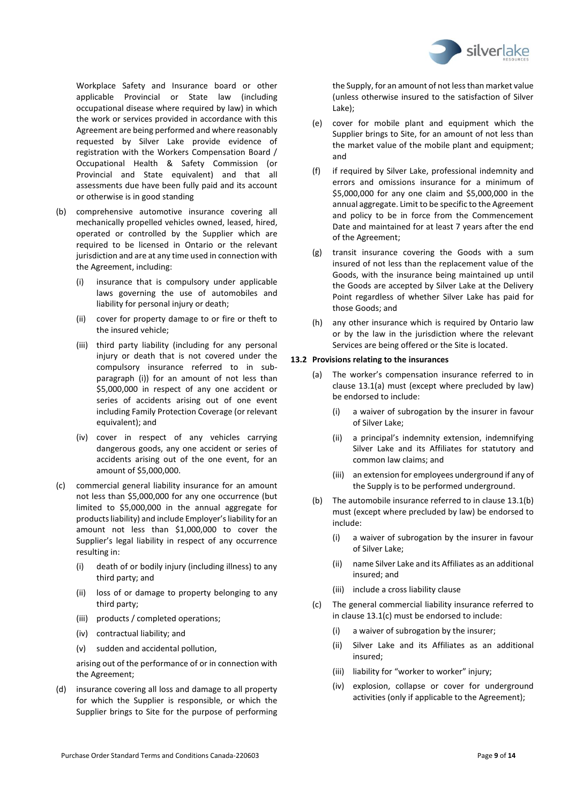

Workplace Safety and Insurance board or other applicable Provincial or State law (including occupational disease where required by law) in which the work or services provided in accordance with this Agreement are being performed and where reasonably requested by Silver Lake provide evidence of registration with the Workers Compensation Board / Occupational Health & Safety Commission (or Provincial and State equivalent) and that all assessments due have been fully paid and its account or otherwise is in good standing

- <span id="page-8-0"></span>(b) comprehensive automotive insurance covering all mechanically propelled vehicles owned, leased, hired, operated or controlled by the Supplier which are required to be licensed in Ontario or the relevant jurisdiction and are at any time used in connection with the Agreement, including:
	- (i) insurance that is compulsory under applicable laws governing the use of automobiles and liability for personal injury or death;
	- (ii) cover for property damage to or fire or theft to the insured vehicle;
	- (iii) third party liability (including for any personal injury or death that is not covered under the compulsory insurance referred to in subparagraph (i)) for an amount of not less than \$5,000,000 in respect of any one accident or series of accidents arising out of one event including Family Protection Coverage (or relevant equivalent); and
	- (iv) cover in respect of any vehicles carrying dangerous goods, any one accident or series of accidents arising out of the one event, for an amount of \$5,000,000.
- <span id="page-8-1"></span>(c) commercial general liability insurance for an amount not less than \$5,000,000 for any one occurrence (but limited to \$5,000,000 in the annual aggregate for products liability) and include Employer's liability for an amount not less than \$1,000,000 to cover the Supplier's legal liability in respect of any occurrence resulting in:
	- (i) death of or bodily injury (including illness) to any third party; and
	- (ii) loss of or damage to property belonging to any third party;
	- (iii) products / completed operations;
	- (iv) contractual liability; and
	- (v) sudden and accidental pollution,

arising out of the performance of or in connection with the Agreement;

(d) insurance covering all loss and damage to all property for which the Supplier is responsible, or which the Supplier brings to Site for the purpose of performing the Supply, for an amount of not less than market value (unless otherwise insured to the satisfaction of Silver Lake);

- <span id="page-8-2"></span>(e) cover for mobile plant and equipment which the Supplier brings to Site, for an amount of not less than the market value of the mobile plant and equipment; and
- (f) if required by Silver Lake, professional indemnity and errors and omissions insurance for a minimum of \$5,000,000 for any one claim and \$5,000,000 in the annual aggregate. Limit to be specific to the Agreement and policy to be in force from the Commencement Date and maintained for at least 7 years after the end of the Agreement;
- (g) transit insurance covering the Goods with a sum insured of not less than the replacement value of the Goods, with the insurance being maintained up until the Goods are accepted by Silver Lake at the Delivery Point regardless of whether Silver Lake has paid for those Goods; and
- (h) any other insurance which is required by Ontario law or by the law in the jurisdiction where the relevant Services are being offered or the Site is located.

## **13.2 Provisions relating to the insurances**

- (a) The worker's compensation insurance referred to in clause [13.1](#page-7-6)[\(a\)](#page-7-7) must (except where precluded by law) be endorsed to include:
	- (i) a waiver of subrogation by the insurer in favour of Silver Lake;
	- (ii) a principal's indemnity extension, indemnifying Silver Lake and its Affiliates for statutory and common law claims; and
	- (iii) an extension for employees underground if any of the Supply is to be performed underground.
- (b) The automobile insurance referred to in claus[e 13.1](#page-7-6)[\(b\)](#page-8-0) must (except where precluded by law) be endorsed to include:
	- (i) a waiver of subrogation by the insurer in favour of Silver Lake;
	- (ii) name Silver Lake and its Affiliates as an additional insured; and
	- (iii) include a cross liability clause
- (c) The general commercial liability insurance referred to in clause [13.1](#page-7-6)[\(c\)](#page-8-1) must be endorsed to include:
	- (i) a waiver of subrogation by the insurer;
	- (ii) Silver Lake and its Affiliates as an additional insured;
	- (iii) liability for "worker to worker" injury;
	- (iv) explosion, collapse or cover for underground activities (only if applicable to the Agreement);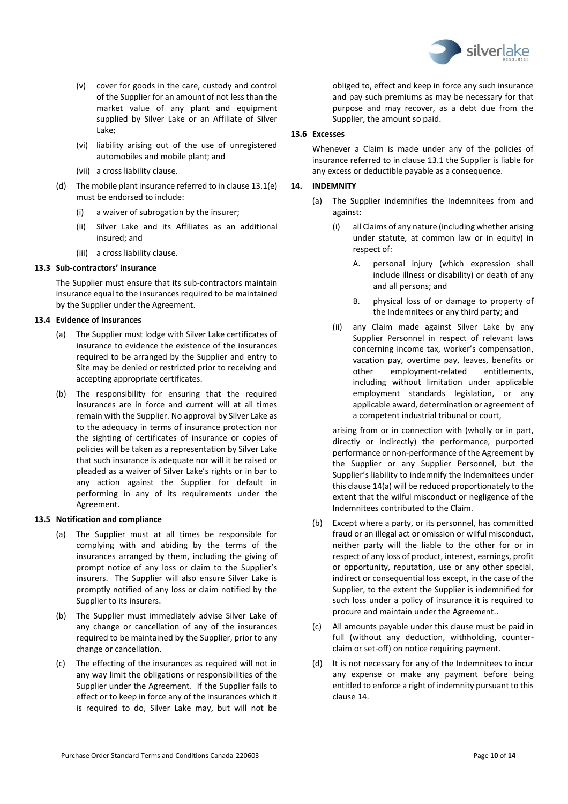

- (v) cover for goods in the care, custody and control of the Supplier for an amount of not less than the market value of any plant and equipment supplied by Silver Lake or an Affiliate of Silver Lake;
- (vi) liability arising out of the use of unregistered automobiles and mobile plant; and
- (vii) a cross liability clause.
- (d) The mobile plant insurance referred to in claus[e 13.1](#page-7-6)[\(e\)](#page-8-2) must be endorsed to include:
	- (i) a waiver of subrogation by the insurer;
	- (ii) Silver Lake and its Affiliates as an additional insured; and
	- (iii) a cross liability clause.

#### **13.3 Sub-contractors' insurance**

The Supplier must ensure that its sub-contractors maintain insurance equal to the insurances required to be maintained by the Supplier under the Agreement.

## **13.4 Evidence of insurances**

- (a) The Supplier must lodge with Silver Lake certificates of insurance to evidence the existence of the insurances required to be arranged by the Supplier and entry to Site may be denied or restricted prior to receiving and accepting appropriate certificates.
- (b) The responsibility for ensuring that the required insurances are in force and current will at all times remain with the Supplier. No approval by Silver Lake as to the adequacy in terms of insurance protection nor the sighting of certificates of insurance or copies of policies will be taken as a representation by Silver Lake that such insurance is adequate nor will it be raised or pleaded as a waiver of Silver Lake's rights or in bar to any action against the Supplier for default in performing in any of its requirements under the Agreement.

#### **13.5 Notification and compliance**

- (a) The Supplier must at all times be responsible for complying with and abiding by the terms of the insurances arranged by them, including the giving of prompt notice of any loss or claim to the Supplier's insurers. The Supplier will also ensure Silver Lake is promptly notified of any loss or claim notified by the Supplier to its insurers.
- (b) The Supplier must immediately advise Silver Lake of any change or cancellation of any of the insurances required to be maintained by the Supplier, prior to any change or cancellation.
- (c) The effecting of the insurances as required will not in any way limit the obligations or responsibilities of the Supplier under the Agreement. If the Supplier fails to effect or to keep in force any of the insurances which it is required to do, Silver Lake may, but will not be

obliged to, effect and keep in force any such insurance and pay such premiums as may be necessary for that purpose and may recover, as a debt due from the Supplier, the amount so paid.

## **13.6 Excesses**

Whenever a Claim is made under any of the policies of insurance referred to in clause [13.1](#page-7-6) the Supplier is liable for any excess or deductible payable as a consequence.

## <span id="page-9-1"></span><span id="page-9-0"></span>**14. INDEMNITY**

- (a) The Supplier indemnifies the Indemnitees from and against:
	- (i) all Claims of any nature (including whether arising under statute, at common law or in equity) in respect of:
		- A. personal injury (which expression shall include illness or disability) or death of any and all persons; and
		- B. physical loss of or damage to property of the Indemnitees or any third party; and
	- (ii) any Claim made against Silver Lake by any Supplier Personnel in respect of relevant laws concerning income tax, worker's compensation, vacation pay, overtime pay, leaves, benefits or other employment-related entitlements, including without limitation under applicable employment standards legislation, or any applicable award, determination or agreement of a competent industrial tribunal or court,

arising from or in connection with (wholly or in part, directly or indirectly) the performance, purported performance or non-performance of the Agreement by the Supplier or any Supplier Personnel, but the Supplier's liability to indemnify the Indemnitees under this claus[e 14](#page-9-0)[\(a\)](#page-9-1) will be reduced proportionately to the extent that the wilful misconduct or negligence of the Indemnitees contributed to the Claim.

- (b) Except where a party, or its personnel, has committed fraud or an illegal act or omission or wilful misconduct, neither party will the liable to the other for or in respect of any loss of product, interest, earnings, profit or opportunity, reputation, use or any other special, indirect or consequential loss except, in the case of the Supplier, to the extent the Supplier is indemnified for such loss under a policy of insurance it is required to procure and maintain under the Agreement..
- (c) All amounts payable under this clause must be paid in full (without any deduction, withholding, counterclaim or set-off) on notice requiring payment.
- (d) It is not necessary for any of the Indemnitees to incur any expense or make any payment before being entitled to enforce a right of indemnity pursuant to this clause [14.](#page-9-0)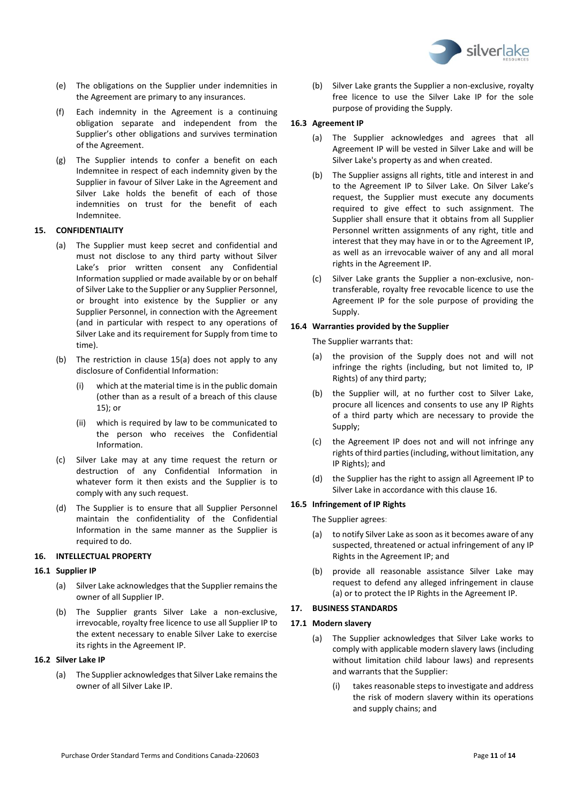

- (e) The obligations on the Supplier under indemnities in the Agreement are primary to any insurances.
- (f) Each indemnity in the Agreement is a continuing obligation separate and independent from the Supplier's other obligations and survives termination of the Agreement.
- (g) The Supplier intends to confer a benefit on each Indemnitee in respect of each indemnity given by the Supplier in favour of Silver Lake in the Agreement and Silver Lake holds the benefit of each of those indemnities on trust for the benefit of each Indemnitee.

## <span id="page-10-3"></span><span id="page-10-0"></span>**15. CONFIDENTIALITY**

- (a) The Supplier must keep secret and confidential and must not disclose to any third party without Silver Lake's prior written consent any Confidential Information supplied or made available by or on behalf of Silver Lake to the Supplier or any Supplier Personnel, or brought into existence by the Supplier or any Supplier Personnel, in connection with the Agreement (and in particular with respect to any operations of Silver Lake and its requirement for Supply from time to time).
- (b) The restriction in clause [15](#page-10-0)[\(a\)](#page-10-3) does not apply to any disclosure of Confidential Information:
	- (i) which at the material time is in the public domain (other than as a result of a breach of this clause [15\)](#page-10-0); or
	- (ii) which is required by law to be communicated to the person who receives the Confidential Information.
- (c) Silver Lake may at any time request the return or destruction of any Confidential Information in whatever form it then exists and the Supplier is to comply with any such request.
- (d) The Supplier is to ensure that all Supplier Personnel maintain the confidentiality of the Confidential Information in the same manner as the Supplier is required to do.

#### <span id="page-10-1"></span>**16. INTELLECTUAL PROPERTY**

#### **16.1 Supplier IP**

- (a) Silver Lake acknowledges that the Supplier remains the owner of all Supplier IP.
- (b) The Supplier grants Silver Lake a non-exclusive, irrevocable, royalty free licence to use all Supplier IP to the extent necessary to enable Silver Lake to exercise its rights in the Agreement IP.

#### **16.2 Silver Lake IP**

(a) The Supplier acknowledges that Silver Lake remains the owner of all Silver Lake IP.

(b) Silver Lake grants the Supplier a non-exclusive, royalty free licence to use the Silver Lake IP for the sole purpose of providing the Supply.

#### **16.3 Agreement IP**

- (a) The Supplier acknowledges and agrees that all Agreement IP will be vested in Silver Lake and will be Silver Lake's property as and when created.
- (b) The Supplier assigns all rights, title and interest in and to the Agreement IP to Silver Lake. On Silver Lake's request, the Supplier must execute any documents required to give effect to such assignment. The Supplier shall ensure that it obtains from all Supplier Personnel written assignments of any right, title and interest that they may have in or to the Agreement IP, as well as an irrevocable waiver of any and all moral rights in the Agreement IP.
- (c) Silver Lake grants the Supplier a non-exclusive, nontransferable, royalty free revocable licence to use the Agreement IP for the sole purpose of providing the Supply.

#### **16.4 Warranties provided by the Supplier**

The Supplier warrants that:

- (a) the provision of the Supply does not and will not infringe the rights (including, but not limited to, IP Rights) of any third party;
- (b) the Supplier will, at no further cost to Silver Lake, procure all licences and consents to use any IP Rights of a third party which are necessary to provide the Supply;
- (c) the Agreement IP does not and will not infringe any rights of third parties (including, without limitation, any IP Rights); and
- (d) the Supplier has the right to assign all Agreement IP to Silver Lake in accordance with this clause [16.](#page-10-1)

## **16.5 Infringement of IP Rights**

<span id="page-10-4"></span>The Supplier agrees:

- (a) to notify Silver Lake as soon as it becomes aware of any suspected, threatened or actual infringement of any IP Rights in the Agreement IP; and
- (b) provide all reasonable assistance Silver Lake may request to defend any alleged infringement in clause [\(a\)](#page-10-4) or to protect the IP Rights in the Agreement IP.

#### <span id="page-10-2"></span>**17. BUSINESS STANDARDS**

#### <span id="page-10-5"></span>**17.1 Modern slavery**

- (a) The Supplier acknowledges that Silver Lake works to comply with applicable modern slavery laws (including without limitation child labour laws) and represents and warrants that the Supplier:
	- (i) takes reasonable steps to investigate and address the risk of modern slavery within its operations and supply chains; and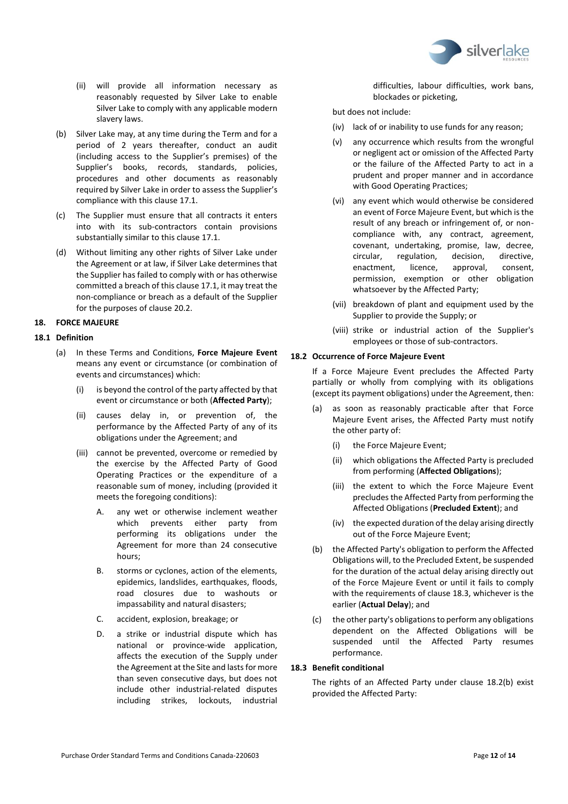

- (ii) will provide all information necessary as reasonably requested by Silver Lake to enable Silver Lake to comply with any applicable modern slavery laws.
- (b) Silver Lake may, at any time during the Term and for a period of 2 years thereafter, conduct an audit (including access to the Supplier's premises) of the Supplier's books, records, standards, policies, procedures and other documents as reasonably required by Silver Lake in order to assess the Supplier's compliance with this clause [17.1.](#page-10-5)
- (c) The Supplier must ensure that all contracts it enters into with its sub-contractors contain provisions substantially similar to this clause [17.1.](#page-10-5)
- (d) Without limiting any other rights of Silver Lake under the Agreement or at law, if Silver Lake determines that the Supplier has failed to comply with or has otherwise committed a breach of this clause [17.1,](#page-10-5) it may treat the non-compliance or breach as a default of the Supplier for the purposes of clause [20.2.](#page-12-3)

## <span id="page-11-0"></span>**18. FORCE MAJEURE**

## **18.1 Definition**

- (a) In these Terms and Conditions, **Force Majeure Event**  means any event or circumstance (or combination of events and circumstances) which:
	- (i) is beyond the control of the party affected by that event or circumstance or both (**Affected Party**);
	- (ii) causes delay in, or prevention of, the performance by the Affected Party of any of its obligations under the Agreement; and
	- (iii) cannot be prevented, overcome or remedied by the exercise by the Affected Party of Good Operating Practices or the expenditure of a reasonable sum of money, including (provided it meets the foregoing conditions):
		- A. any wet or otherwise inclement weather which prevents either party from performing its obligations under the Agreement for more than 24 consecutive hours;
		- B. storms or cyclones, action of the elements, epidemics, landslides, earthquakes, floods, road closures due to washouts or impassability and natural disasters;
		- C. accident, explosion, breakage; or
		- D. a strike or industrial dispute which has national or province-wide application, affects the execution of the Supply under the Agreement at the Site and lasts for more than seven consecutive days, but does not include other industrial-related disputes including strikes, lockouts, industrial

difficulties, labour difficulties, work bans, blockades or picketing,

but does not include:

- (iv) lack of or inability to use funds for any reason;
- (v) any occurrence which results from the wrongful or negligent act or omission of the Affected Party or the failure of the Affected Party to act in a prudent and proper manner and in accordance with Good Operating Practices;
- (vi) any event which would otherwise be considered an event of Force Majeure Event, but which is the result of any breach or infringement of, or noncompliance with, any contract, agreement, covenant, undertaking, promise, law, decree, circular, regulation, decision, directive, enactment, licence, approval, consent, permission, exemption or other obligation whatsoever by the Affected Party;
- (vii) breakdown of plant and equipment used by the Supplier to provide the Supply; or
- (viii) strike or industrial action of the Supplier's employees or those of sub-contractors.

#### <span id="page-11-2"></span>**18.2 Occurrence of Force Majeure Event**

If a Force Majeure Event precludes the Affected Party partially or wholly from complying with its obligations (except its payment obligations) under the Agreement, then:

- (a) as soon as reasonably practicable after that Force Majeure Event arises, the Affected Party must notify the other party of:
	- (i) the Force Majeure Event;
	- (ii) which obligations the Affected Party is precluded from performing (**Affected Obligations**);
	- (iii) the extent to which the Force Majeure Event precludes the Affected Party from performing the Affected Obligations (**Precluded Extent**); and
	- (iv) the expected duration of the delay arising directly out of the Force Majeure Event;
- <span id="page-11-3"></span>(b) the Affected Party's obligation to perform the Affected Obligations will, to the Precluded Extent, be suspended for the duration of the actual delay arising directly out of the Force Majeure Event or until it fails to comply with the requirements of clause [18.3,](#page-11-1) whichever is the earlier (**Actual Delay**); and
- (c) the other party's obligations to perform any obligations dependent on the Affected Obligations will be suspended until the Affected Party resumes performance.

## <span id="page-11-1"></span>**18.3 Benefit conditional**

The rights of an Affected Party under clause [18.2](#page-11-2)[\(b\)](#page-11-3) exist provided the Affected Party: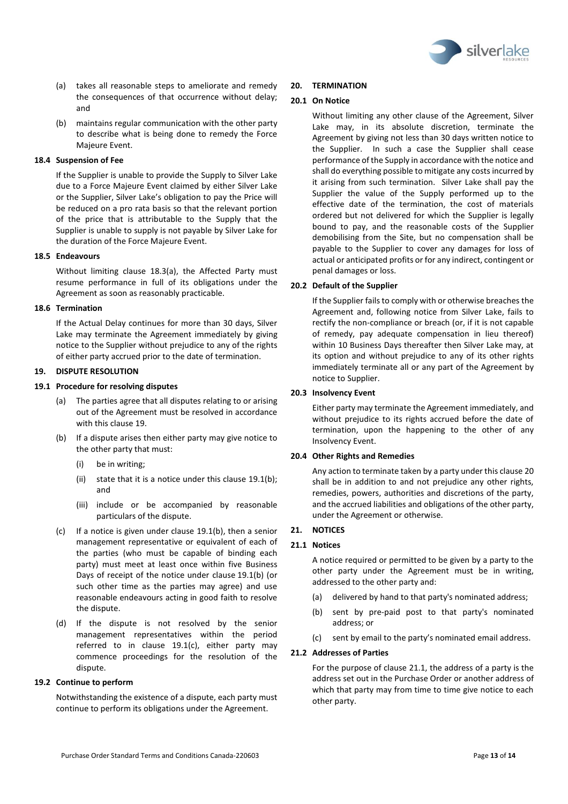

- <span id="page-12-4"></span>(a) takes all reasonable steps to ameliorate and remedy the consequences of that occurrence without delay; and
- (b) maintains regular communication with the other party to describe what is being done to remedy the Force Majeure Event.

## **18.4 Suspension of Fee**

If the Supplier is unable to provide the Supply to Silver Lake due to a Force Majeure Event claimed by either Silver Lake or the Supplier, Silver Lake's obligation to pay the Price will be reduced on a pro rata basis so that the relevant portion of the price that is attributable to the Supply that the Supplier is unable to supply is not payable by Silver Lake for the duration of the Force Majeure Event.

#### **18.5 Endeavours**

Without limiting clause [18.3](#page-11-1)[\(a\),](#page-12-4) the Affected Party must resume performance in full of its obligations under the Agreement as soon as reasonably practicable.

## **18.6 Termination**

If the Actual Delay continues for more than 30 days, Silver Lake may terminate the Agreement immediately by giving notice to the Supplier without prejudice to any of the rights of either party accrued prior to the date of termination.

## <span id="page-12-0"></span>**19. DISPUTE RESOLUTION**

## <span id="page-12-5"></span>**19.1 Procedure for resolving disputes**

- (a) The parties agree that all disputes relating to or arising out of the Agreement must be resolved in accordance with this clause [19.](#page-12-0)
- <span id="page-12-6"></span>(b) If a dispute arises then either party may give notice to the other party that must:
	- (i) be in writing;
	- (ii) state that it is a notice under this clause [19.1](#page-12-5)[\(b\);](#page-12-6) and
	- (iii) include or be accompanied by reasonable particulars of the dispute.
- <span id="page-12-7"></span>(c) If a notice is given under clause [19.1](#page-12-5)[\(b\),](#page-12-6) then a senior management representative or equivalent of each of the parties (who must be capable of binding each party) must meet at least once within five Business Days of receipt of the notice under clause [19.1](#page-12-5)[\(b\)](#page-12-6) (or such other time as the parties may agree) and use reasonable endeavours acting in good faith to resolve the dispute.
- (d) If the dispute is not resolved by the senior management representatives within the period referred to in clause [19.1](#page-12-5)[\(c\),](#page-12-7) either party may commence proceedings for the resolution of the dispute.

#### **19.2 Continue to perform**

Notwithstanding the existence of a dispute, each party must continue to perform its obligations under the Agreement.

## <span id="page-12-1"></span>**20. TERMINATION**

## **20.1 On Notice**

Without limiting any other clause of the Agreement, Silver Lake may, in its absolute discretion, terminate the Agreement by giving not less than 30 days written notice to the Supplier. In such a case the Supplier shall cease performance of the Supply in accordance with the notice and shall do everything possible to mitigate any costs incurred by it arising from such termination. Silver Lake shall pay the Supplier the value of the Supply performed up to the effective date of the termination, the cost of materials ordered but not delivered for which the Supplier is legally bound to pay, and the reasonable costs of the Supplier demobilising from the Site, but no compensation shall be payable to the Supplier to cover any damages for loss of actual or anticipated profits or for any indirect, contingent or penal damages or loss.

## <span id="page-12-3"></span>**20.2 Default of the Supplier**

If the Supplier fails to comply with or otherwise breaches the Agreement and, following notice from Silver Lake, fails to rectify the non-compliance or breach (or, if it is not capable of remedy, pay adequate compensation in lieu thereof) within 10 Business Days thereafter then Silver Lake may, at its option and without prejudice to any of its other rights immediately terminate all or any part of the Agreement by notice to Supplier.

#### **20.3 Insolvency Event**

Either party may terminate the Agreement immediately, and without prejudice to its rights accrued before the date of termination, upon the happening to the other of any Insolvency Event.

#### **20.4 Other Rights and Remedies**

Any action to terminate taken by a party under this claus[e 20](#page-12-1) shall be in addition to and not prejudice any other rights, remedies, powers, authorities and discretions of the party, and the accrued liabilities and obligations of the other party, under the Agreement or otherwise.

## <span id="page-12-2"></span>**21. NOTICES**

## <span id="page-12-8"></span>**21.1 Notices**

A notice required or permitted to be given by a party to the other party under the Agreement must be in writing, addressed to the other party and:

- (a) delivered by hand to that party's nominated address;
- (b) sent by pre-paid post to that party's nominated address; or
- (c) sent by email to the party's nominated email address.

## **21.2 Addresses of Parties**

For the purpose of claus[e 21.1,](#page-12-8) the address of a party is the address set out in the Purchase Order or another address of which that party may from time to time give notice to each other party.